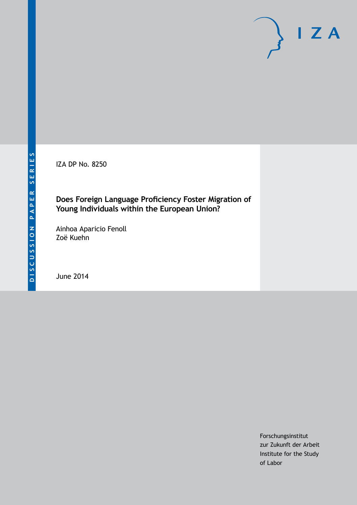IZA DP No. 8250

#### **Does Foreign Language Proficiency Foster Migration of Young Individuals within the European Union?**

Ainhoa Aparicio Fenoll Zoë Kuehn

June 2014

Forschungsinstitut zur Zukunft der Arbeit Institute for the Study of Labor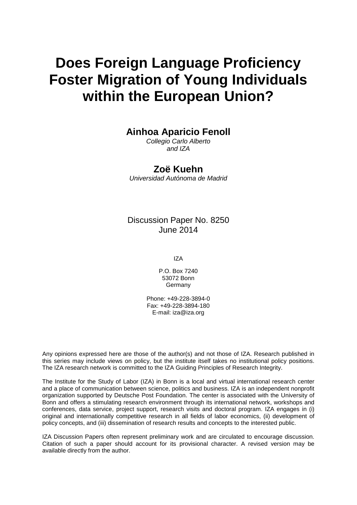# **Does Foreign Language Proficiency Foster Migration of Young Individuals within the European Union?**

#### **Ainhoa Aparicio Fenoll**

*Collegio Carlo Alberto and IZA*

#### **Zoë Kuehn**

*Universidad Autónoma de Madrid*

Discussion Paper No. 8250 June 2014

IZA

P.O. Box 7240 53072 Bonn Germany

Phone: +49-228-3894-0 Fax: +49-228-3894-180 E-mail: [iza@iza.org](mailto:iza@iza.org)

Any opinions expressed here are those of the author(s) and not those of IZA. Research published in this series may include views on policy, but the institute itself takes no institutional policy positions. The IZA research network is committed to the IZA Guiding Principles of Research Integrity.

The Institute for the Study of Labor (IZA) in Bonn is a local and virtual international research center and a place of communication between science, politics and business. IZA is an independent nonprofit organization supported by Deutsche Post Foundation. The center is associated with the University of Bonn and offers a stimulating research environment through its international network, workshops and conferences, data service, project support, research visits and doctoral program. IZA engages in (i) original and internationally competitive research in all fields of labor economics, (ii) development of policy concepts, and (iii) dissemination of research results and concepts to the interested public.

IZA Discussion Papers often represent preliminary work and are circulated to encourage discussion. Citation of such a paper should account for its provisional character. A revised version may be available directly from the author.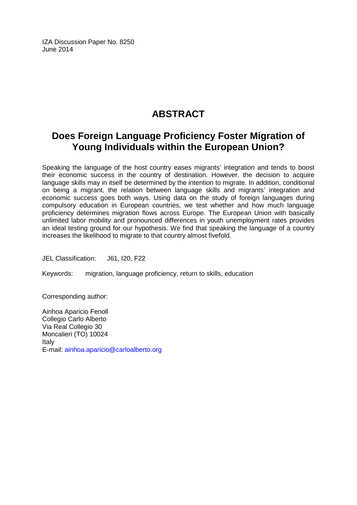IZA Discussion Paper No. 8250 June 2014

# **ABSTRACT**

## **Does Foreign Language Proficiency Foster Migration of Young Individuals within the European Union?**

Speaking the language of the host country eases migrants' integration and tends to boost their economic success in the country of destination. However, the decision to acquire language skills may in itself be determined by the intention to migrate. In addition, conditional on being a migrant, the relation between language skills and migrants' integration and economic success goes both ways. Using data on the study of foreign languages during compulsory education in European countries, we test whether and how much language proficiency determines migration flows across Europe. The European Union with basically unlimited labor mobility and pronounced differences in youth unemployment rates provides an ideal testing ground for our hypothesis. We find that speaking the language of a country increases the likelihood to migrate to that country almost fivefold.

JEL Classification: J61, I20, F22

Keywords: migration, language proficiency, return to skills, education

Corresponding author:

Ainhoa Aparicio Fenoll Collegio Carlo Alberto Via Real Collegio 30 Moncalieri (TO) 10024 Italy E-mail: [ainhoa.aparicio@carloalberto.org](mailto:ainhoa.aparicio@carloalberto.org)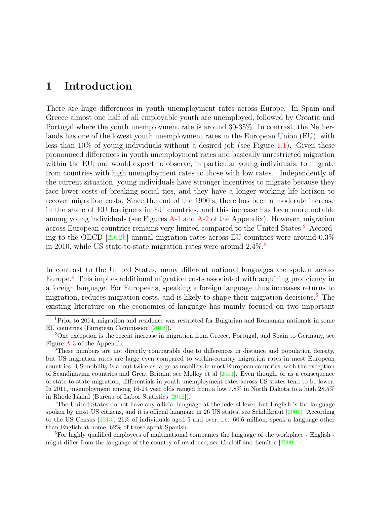### 1 Introduction

There are huge differences in youth unemployment rates across Europe. In Spain and Greece almost one half of all employable youth are unemployed, followed by Croatia and Portugal where the youth unemployment rate is around 30-35%. In contrast, the Netherlands has one of the lowest youth unemployment rates in the European Union (EU), with less than  $10\%$  of young individuals without a desired job (see Figure [1.1\)](#page-4-0). Given these pronounced differences in youth unemployment rates and basically unrestricted migration within the EU, one would expect to observe, in particular young individuals, to migrate from countries with high unemployment rates to those with low rates.<sup>[1](#page-3-0)</sup> Independently of the current situation, young individuals have stronger incentives to migrate because they face lower costs of breaking social ties, and they have a longer working life horizon to recover migration costs. Since the end of the 1990's, there has been a moderate increase in the share of EU foreigners in EU countries, and this increase has been more notable among young individuals (see Figures [A-1](#page-22-0) and [A-2](#page-22-1) of the Appendix). However, migration across European countries remains very limited compared to the United States.[2](#page-3-1) According to the OECD [\[2012b\]](#page-21-0) annual migration rates across EU countries were around 0.3% in 2010, while US state-to-state migration rates were around  $2.4\%$ .<sup>[3](#page-3-2)</sup>

In contrast to the United States, many different national languages are spoken across Europe.[4](#page-3-3) This implies additional migration costs associated with acquiring proficiency in a foreign language. For Europeans, speaking a foreign language thus increases returns to migration, reduces migration costs, and is likely to shape their migration decisions.[5](#page-3-4) The existing literature on the economics of language has mainly focused on two important

<span id="page-3-4"></span><sup>5</sup>For highly qualified employees of multinational companies the language of the workplace  $\overline{\phantom{a}}$ -English  $\overline{\phantom{a}}$ might differ from the language of the country of residence, see Chaloff and Lemître  $[2009]$ .

<span id="page-3-0"></span><sup>&</sup>lt;sup>1</sup>Prior to 2014, migration and residence was restricted for Bulgarian and Romanian nationals in some EU countries (European Commission [\[2012\]](#page-19-0)).

<span id="page-3-1"></span><sup>&</sup>lt;sup>2</sup>One exception is the recent increase in migration from Greece, Portugal, and Spain to Germany, see Figure [A-3](#page-23-0) of the Appendix.

<span id="page-3-2"></span><sup>3</sup>These numbers are not directly comparable due to differences in distance and population density, but US migration rates are large even compared to within-country migration rates in most European countries: US mobility is about twice as large as mobility in most European countries, with the exception of Scandinavian countries and Great Britain, see Molloy et al [\[2011\]](#page-20-0). Even though, or as a consequence of state-to-state migration, differentials in youth unemployment rates across US states tend to be lower. In 2011, unemployment among 16-24 year olds ranged from a low 7.8% in North Dakota to a high 28.5% in Rhode Island (Bureau of Labor Statistics [\[2012\]](#page-18-0)).

<span id="page-3-3"></span><sup>4</sup>The United States do not have any official language at the federal level, but English is the language spoken by most US citizens, and it is official language in 26 US states, see Schildkraut [\[2001\]](#page-21-1). According to the US Census [\[2013\]](#page-21-2), 21% of individuals aged 5 and over, i.e. 60.6 million, speak a language other than English at home, 62% of those speak Spanish.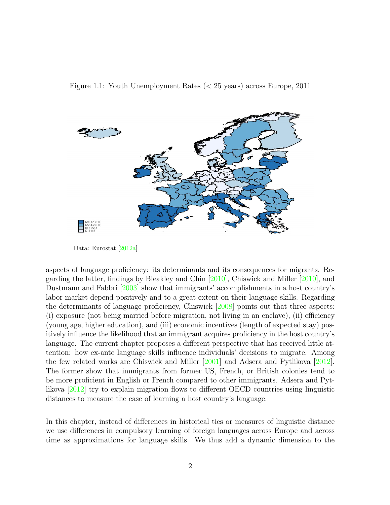<span id="page-4-0"></span>



Data: Eurostat [\[2012a\]](#page-19-2)

aspects of language proficiency: its determinants and its consequences for migrants. Regarding the latter, findings by Bleakley and Chin [\[2010\]](#page-18-1), Chiswick and Miller [\[2010\]](#page-19-3), and Dustmann and Fabbri [\[2003\]](#page-19-4) show that immigrants' accomplishments in a host country's labor market depend positively and to a great extent on their language skills. Regarding the determinants of language proficiency, Chiswick [\[2008\]](#page-19-5) points out that three aspects: (i) exposure (not being married before migration, not living in an enclave), (ii) efficiency (young age, higher education), and (iii) economic incentives (length of expected stay) positively influence the likelihood that an immigrant acquires proficiency in the host country's language. The current chapter proposes a different perspective that has received little attention: how ex-ante language skills influence individuals' decisions to migrate. Among the few related works are Chiswick and Miller [\[2001\]](#page-19-6) and Adsera and Pytlikova [\[2012\]](#page-18-2). The former show that immigrants from former US, French, or British colonies tend to be more proficient in English or French compared to other immigrants. Adsera and Pytlikova [\[2012\]](#page-18-2) try to explain migration flows to different OECD countries using linguistic distances to measure the ease of learning a host country's language.

In this chapter, instead of differences in historical ties or measures of linguistic distance we use differences in compulsory learning of foreign languages across Europe and across time as approximations for language skills. We thus add a dynamic dimension to the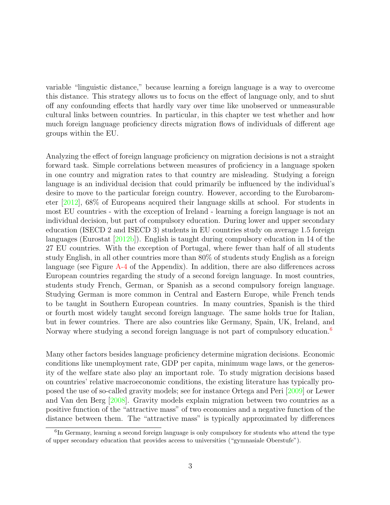variable "linguistic distance," because learning a foreign language is a way to overcome this distance. This strategy allows us to focus on the effect of language only, and to shut off any confounding effects that hardly vary over time like unobserved or unmeasurable cultural links between countries. In particular, in this chapter we test whether and how much foreign language proficiency directs migration flows of individuals of different age groups within the EU.

Analyzing the effect of foreign language proficiency on migration decisions is not a straight forward task. Simple correlations between measures of proficiency in a language spoken in one country and migration rates to that country are misleading. Studying a foreign language is an individual decision that could primarily be influenced by the individual's desire to move to the particular foreign country. However, according to the Eurobarometer [\[2012\]](#page-19-7), 68% of Europeans acquired their language skills at school. For students in most EU countries - with the exception of Ireland - learning a foreign language is not an individual decision, but part of compulsory education. During lower and upper secondary education (ISECD 2 and ISECD 3) students in EU countries study on average 1.5 foreign languages (Eurostat [\[2012b\]](#page-20-1)). English is taught during compulsory education in 14 of the 27 EU countries. With the exception of Portugal, where fewer than half of all students study English, in all other countries more than 80% of students study English as a foreign language (see Figure [A-4](#page-23-1) of the Appendix). In addition, there are also differences across European countries regarding the study of a second foreign language. In most countries, students study French, German, or Spanish as a second compulsory foreign language. Studying German is more common in Central and Eastern Europe, while French tends to be taught in Southern European countries. In many countries, Spanish is the third or fourth most widely taught second foreign language. The same holds true for Italian, but in fewer countries. There are also countries like Germany, Spain, UK, Ireland, and Norway where studying a second foreign language is not part of compulsory education.<sup>[6](#page-5-0)</sup>

Many other factors besides language proficiency determine migration decisions. Economic conditions like unemployment rate, GDP per capita, minimum wage laws, or the generosity of the welfare state also play an important role. To study migration decisions based on countries' relative macroeconomic conditions, the existing literature has typically proposed the use of so-called gravity models; see for instance Ortega and Peri [\[2009\]](#page-21-3) or Lewer and Van den Berg [\[2008\]](#page-20-2). Gravity models explain migration between two countries as a positive function of the "attractive mass" of two economies and a negative function of the distance between them. The "attractive mass" is typically approximated by differences

<span id="page-5-0"></span><sup>&</sup>lt;sup>6</sup>In Germany, learning a second foreign language is only compulsory for students who attend the type of upper secondary education that provides access to universities ("gymnasiale Oberstufe").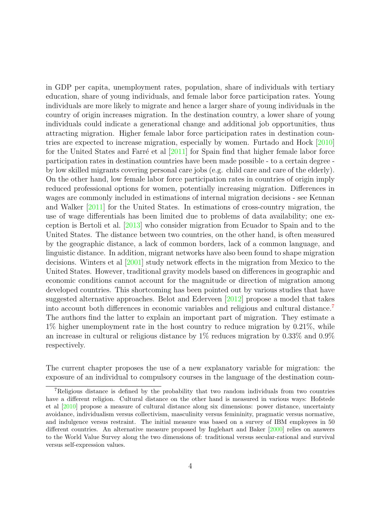in GDP per capita, unemployment rates, population, share of individuals with tertiary education, share of young individuals, and female labor force participation rates. Young individuals are more likely to migrate and hence a larger share of young individuals in the country of origin increases migration. In the destination country, a lower share of young individuals could indicate a generational change and additional job opportunities, thus attracting migration. Higher female labor force participation rates in destination countries are expected to increase migration, especially by women. Furtado and Hock [\[2010\]](#page-20-3) for the United States and Farré et al  $[2011]$  for Spain find that higher female labor force participation rates in destination countries have been made possible - to a certain degree by low skilled migrants covering personal care jobs (e.g. child care and care of the elderly). On the other hand, low female labor force participation rates in countries of origin imply reduced professional options for women, potentially increasing migration. Differences in wages are commonly included in estimations of internal migration decisions - see Kennan and Walker [\[2011\]](#page-20-5) for the United States. In estimations of cross-country migration, the use of wage differentials has been limited due to problems of data availability; one exception is Bertoli et al. [\[2013\]](#page-18-3) who consider migration from Ecuador to Spain and to the United States. The distance between two countries, on the other hand, is often measured by the geographic distance, a lack of common borders, lack of a common language, and linguistic distance. In addition, migrant networks have also been found to shape migration decisions. Winters et al [\[2001\]](#page-21-4) study network effects in the migration from Mexico to the United States. However, traditional gravity models based on differences in geographic and economic conditions cannot account for the magnitude or direction of migration among developed countries. This shortcoming has been pointed out by various studies that have suggested alternative approaches. Belot and Ederveen [\[2012\]](#page-18-4) propose a model that takes into account both differences in economic variables and religious and cultural distance.[7](#page-6-0) The authors find the latter to explain an important part of migration. They estimate a 1% higher unemployment rate in the host country to reduce migration by 0.21%, while an increase in cultural or religious distance by 1% reduces migration by 0.33% and 0.9% respectively.

The current chapter proposes the use of a new explanatory variable for migration: the exposure of an individual to compulsory courses in the language of the destination coun-

<span id="page-6-0"></span><sup>7</sup>Religious distance is defined by the probability that two random individuals from two countries have a different religion. Cultural distance on the other hand is measured in various ways: Hofstede et al [\[2010\]](#page-20-6) propose a measure of cultural distance along six dimensions: power distance, uncertainty avoidance, individualism versus collectivism, masculinity versus femininity, pragmatic versus normative, and indulgence versus restraint. The initial measure was based on a survey of IBM employees in 50 different countries. An alternative measure proposed by Inglehart and Baker [\[2000\]](#page-20-7) relies on answers to the World Value Survey along the two dimensions of: traditional versus secular-rational and survival versus self-expression values.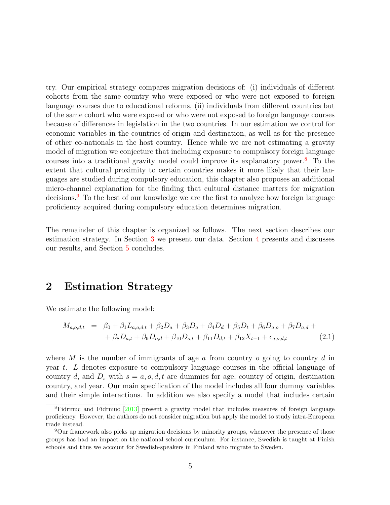try. Our empirical strategy compares migration decisions of: (i) individuals of different cohorts from the same country who were exposed or who were not exposed to foreign language courses due to educational reforms, (ii) individuals from different countries but of the same cohort who were exposed or who were not exposed to foreign language courses because of differences in legislation in the two countries. In our estimation we control for economic variables in the countries of origin and destination, as well as for the presence of other co-nationals in the host country. Hence while we are not estimating a gravity model of migration we conjecture that including exposure to compulsory foreign language courses into a traditional gravity model could improve its explanatory power.[8](#page-7-0) To the extent that cultural proximity to certain countries makes it more likely that their languages are studied during compulsory education, this chapter also proposes an additional micro-channel explanation for the finding that cultural distance matters for migration decisions.[9](#page-7-1) To the best of our knowledge we are the first to analyze how foreign language proficiency acquired during compulsory education determines migration.

The remainder of this chapter is organized as follows. The next section describes our estimation strategy. In Section [3](#page-10-0) we present our data. Section [4](#page-12-0) presents and discusses our results, and Section [5](#page-17-0) concludes.

#### 2 Estimation Strategy

We estimate the following model:

$$
M_{a,o,d,t} = \beta_0 + \beta_1 L_{a,o,d,t} + \beta_2 D_a + \beta_3 D_o + \beta_4 D_d + \beta_5 D_t + \beta_6 D_{a,o} + \beta_7 D_{a,d} + + \beta_8 D_{a,t} + \beta_9 D_{o,d} + \beta_{10} D_{o,t} + \beta_{11} D_{d,t} + \beta_{12} X_{t-1} + \epsilon_{a,o,d,t}
$$
(2.1)

where M is the number of immigrants of age a from country  $o$  going to country d in year t. L denotes exposure to compulsory language courses in the official language of country d, and  $D_s$  with  $s = a, o, d, t$  are dummies for age, country of origin, destination country, and year. Our main specification of the model includes all four dummy variables and their simple interactions. In addition we also specify a model that includes certain

<span id="page-7-0"></span><sup>&</sup>lt;sup>8</sup>Fidrmuc and Fidrmuc [\[2013\]](#page-20-8) present a gravity model that includes measures of foreign language proficiency. However, the authors do not consider migration but apply the model to study intra-European trade instead.

<span id="page-7-1"></span><sup>9</sup>Our framework also picks up migration decisions by minority groups, whenever the presence of those groups has had an impact on the national school curriculum. For instance, Swedish is taught at Finish schools and thus we account for Swedish-speakers in Finland who migrate to Sweden.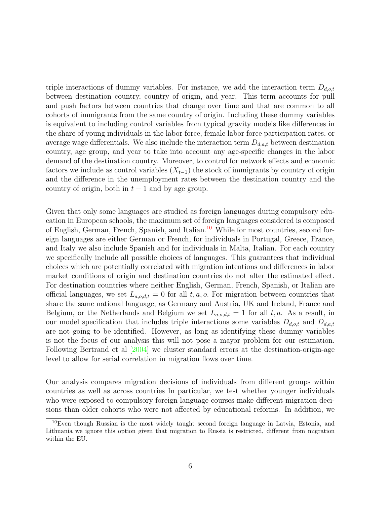triple interactions of dummy variables. For instance, we add the interaction term  $D_{d,o,t}$ between destination country, country of origin, and year. This term accounts for pull and push factors between countries that change over time and that are common to all cohorts of immigrants from the same country of origin. Including these dummy variables is equivalent to including control variables from typical gravity models like differences in the share of young individuals in the labor force, female labor force participation rates, or average wage differentials. We also include the interaction term  $D_{d,a,t}$  between destination country, age group, and year to take into account any age-specific changes in the labor demand of the destination country. Moreover, to control for network effects and economic factors we include as control variables  $(X_{t-1})$  the stock of immigrants by country of origin and the difference in the unemployment rates between the destination country and the country of origin, both in  $t-1$  and by age group.

Given that only some languages are studied as foreign languages during compulsory education in European schools, the maximum set of foreign languages considered is composed of English, German, French, Spanish, and Italian.<sup>[10](#page-8-0)</sup> While for most countries, second foreign languages are either German or French, for individuals in Portugal, Greece, France, and Italy we also include Spanish and for individuals in Malta, Italian. For each country we specifically include all possible choices of languages. This guarantees that individual choices which are potentially correlated with migration intentions and differences in labor market conditions of origin and destination countries do not alter the estimated effect. For destination countries where neither English, German, French, Spanish, or Italian are official languages, we set  $L_{a,o,d,t} = 0$  for all  $t, a, o$ . For migration between countries that share the same national language, as Germany and Austria, UK and Ireland, France and Belgium, or the Netherlands and Belgium we set  $L_{a,o,d,t} = 1$  for all t, a. As a result, in our model specification that includes triple interactions some variables  $D_{d,o,t}$  and  $D_{d,a,t}$ are not going to be identified. However, as long as identifying these dummy variables is not the focus of our analysis this will not pose a mayor problem for our estimation. Following Bertrand et al [\[2004\]](#page-18-5) we cluster standard errors at the destination-origin-age level to allow for serial correlation in migration flows over time.

Our analysis compares migration decisions of individuals from different groups within countries as well as across countries In particular, we test whether younger individuals who were exposed to compulsory foreign language courses make different migration decisions than older cohorts who were not affected by educational reforms. In addition, we

<span id="page-8-0"></span> $10$ Even though Russian is the most widely taught second foreign language in Latvia, Estonia, and Lithuania we ignore this option given that migration to Russia is restricted, different from migration within the EU.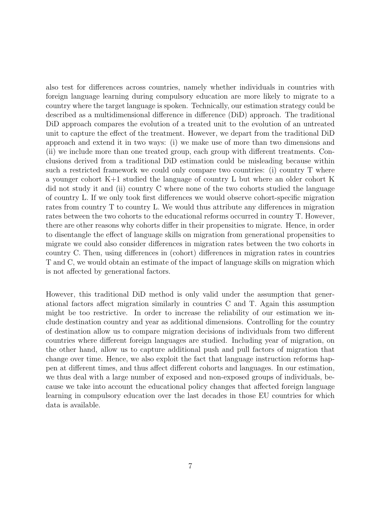also test for differences across countries, namely whether individuals in countries with foreign language learning during compulsory education are more likely to migrate to a country where the target language is spoken. Technically, our estimation strategy could be described as a multidimensional difference in difference (DiD) approach. The traditional DiD approach compares the evolution of a treated unit to the evolution of an untreated unit to capture the effect of the treatment. However, we depart from the traditional DiD approach and extend it in two ways: (i) we make use of more than two dimensions and (ii) we include more than one treated group, each group with different treatments. Conclusions derived from a traditional DiD estimation could be misleading because within such a restricted framework we could only compare two countries: (i) country T where a younger cohort K+1 studied the language of country L but where an older cohort K did not study it and (ii) country C where none of the two cohorts studied the language of country L. If we only took first differences we would observe cohort-specific migration rates from country T to country L. We would thus attribute any differences in migration rates between the two cohorts to the educational reforms occurred in country T. However, there are other reasons why cohorts differ in their propensities to migrate. Hence, in order to disentangle the effect of language skills on migration from generational propensities to migrate we could also consider differences in migration rates between the two cohorts in country C. Then, using differences in (cohort) differences in migration rates in countries T and C, we would obtain an estimate of the impact of language skills on migration which is not affected by generational factors.

However, this traditional DiD method is only valid under the assumption that generational factors affect migration similarly in countries C and T. Again this assumption might be too restrictive. In order to increase the reliability of our estimation we include destination country and year as additional dimensions. Controlling for the country of destination allow us to compare migration decisions of individuals from two different countries where different foreign languages are studied. Including year of migration, on the other hand, allow us to capture additional push and pull factors of migration that change over time. Hence, we also exploit the fact that language instruction reforms happen at different times, and thus affect different cohorts and languages. In our estimation, we thus deal with a large number of exposed and non-exposed groups of individuals, because we take into account the educational policy changes that affected foreign language learning in compulsory education over the last decades in those EU countries for which data is available.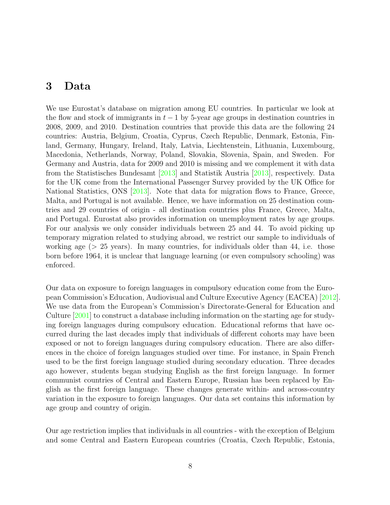#### <span id="page-10-0"></span>3 Data

We use Eurostat's database on migration among EU countries. In particular we look at the flow and stock of immigrants in  $t-1$  by 5-year age groups in destination countries in 2008, 2009, and 2010. Destination countries that provide this data are the following 24 countries: Austria, Belgium, Croatia, Cyprus, Czech Republic, Denmark, Estonia, Finland, Germany, Hungary, Ireland, Italy, Latvia, Liechtenstein, Lithuania, Luxembourg, Macedonia, Netherlands, Norway, Poland, Slovakia, Slovenia, Spain, and Sweden. For Germany and Austria, data for 2009 and 2010 is missing and we complement it with data from the Statistisches Bundesamt [\[2013\]](#page-21-5) and Statistik Austria [\[2013\]](#page-21-6), respectively. Data for the UK come from the International Passenger Survey provided by the UK Office for National Statistics, ONS [\[2013\]](#page-21-7). Note that data for migration flows to France, Greece, Malta, and Portugal is not available. Hence, we have information on 25 destination countries and 29 countries of origin - all destination countries plus France, Greece, Malta, and Portugal. Eurostat also provides information on unemployment rates by age groups. For our analysis we only consider individuals between 25 and 44. To avoid picking up temporary migration related to studying abroad, we restrict our sample to individuals of working age  $(> 25$  years). In many countries, for individuals older than 44, i.e. those born before 1964, it is unclear that language learning (or even compulsory schooling) was enforced.

Our data on exposure to foreign languages in compulsory education come from the European Commission's Education, Audiovisual and Culture Executive Agency (EACEA) [\[2012\]](#page-19-8). We use data from the European's Commission's Directorate-General for Education and Culture [\[2001\]](#page-19-9) to construct a database including information on the starting age for studying foreign languages during compulsory education. Educational reforms that have occurred during the last decades imply that individuals of different cohorts may have been exposed or not to foreign languages during compulsory education. There are also differences in the choice of foreign languages studied over time. For instance, in Spain French used to be the first foreign language studied during secondary education. Three decades ago however, students began studying English as the first foreign language. In former communist countries of Central and Eastern Europe, Russian has been replaced by English as the first foreign language. These changes generate within- and across-country variation in the exposure to foreign languages. Our data set contains this information by age group and country of origin.

Our age restriction implies that individuals in all countries - with the exception of Belgium and some Central and Eastern European countries (Croatia, Czech Republic, Estonia,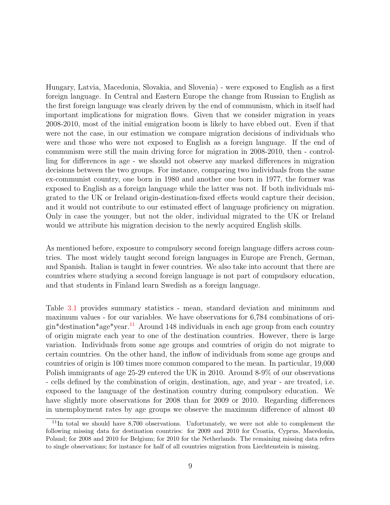Hungary, Latvia, Macedonia, Slovakia, and Slovenia) - were exposed to English as a first foreign language. In Central and Eastern Europe the change from Russian to English as the first foreign language was clearly driven by the end of communism, which in itself had important implications for migration flows. Given that we consider migration in years 2008-2010, most of the initial emigration boom is likely to have ebbed out. Even if that were not the case, in our estimation we compare migration decisions of individuals who were and those who were not exposed to English as a foreign language. If the end of communism were still the main driving force for migration in 2008-2010, then - controlling for differences in age - we should not observe any marked differences in migration decisions between the two groups. For instance, comparing two individuals from the same ex-communist country, one born in 1980 and another one born in 1977, the former was exposed to English as a foreign language while the latter was not. If both individuals migrated to the UK or Ireland origin-destination-fixed effects would capture their decision, and it would not contribute to our estimated effect of language proficiency on migration. Only in case the younger, but not the older, individual migrated to the UK or Ireland would we attribute his migration decision to the newly acquired English skills.

As mentioned before, exposure to compulsory second foreign language differs across countries. The most widely taught second foreign languages in Europe are French, German, and Spanish. Italian is taught in fewer countries. We also take into account that there are countries where studying a second foreign language is not part of compulsory education, and that students in Finland learn Swedish as a foreign language.

Table [3.1](#page-12-1) provides summary statistics - mean, standard deviation and minimum and maximum values - for our variables. We have observations for 6,784 combinations of ori- $\sin^*$ destination<sup>\*</sup>age<sup>\*</sup>year.<sup>[11](#page-11-0)</sup> Around 148 individuals in each age group from each country of origin migrate each year to one of the destination countries. However, there is large variation. Individuals from some age groups and countries of origin do not migrate to certain countries. On the other hand, the inflow of individuals from some age groups and countries of origin is 100 times more common compared to the mean. In particular, 19,000 Polish immigrants of age 25-29 entered the UK in 2010. Around 8-9% of our observations - cells defined by the combination of origin, destination, age, and year - are treated, i.e. exposed to the language of the destination country during compulsory education. We have slightly more observations for 2008 than for 2009 or 2010. Regarding differences in unemployment rates by age groups we observe the maximum difference of almost 40

<span id="page-11-0"></span><sup>&</sup>lt;sup>11</sup>In total we should have 8,700 observations. Unfortunately, we were not able to complement the following missing data for destination countries: for 2009 and 2010 for Croatia, Cyprus, Macedonia, Poland; for 2008 and 2010 for Belgium; for 2010 for the Netherlands. The remaining missing data refers to single observations; for instance for half of all countries migration from Liechtenstein is missing.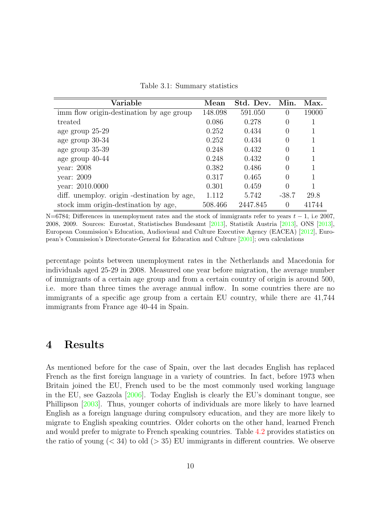Table 3.1: Summary statistics

<span id="page-12-1"></span>

| Variable                                     | Mean    | Std. Dev. | Min.    | Max.  |
|----------------------------------------------|---------|-----------|---------|-------|
| imm flow origin-destination by age group     | 148.098 | 591.050   | 0       | 19000 |
| treated                                      | 0.086   | 0.278     | 0       |       |
| age group 25-29                              | 0.252   | 0.434     | 0       |       |
| age group 30-34                              | 0.252   | 0.434     | 0       |       |
| age group 35-39                              | 0.248   | 0.432     |         |       |
| age group 40-44                              | 0.248   | 0.432     | 0       |       |
| year: $2008$                                 | 0.382   | 0.486     | 0       |       |
| year: $2009$                                 | 0.317   | 0.465     | 0       |       |
| year: 2010.0000                              | 0.301   | 0.459     | 0       |       |
| diff. unemploy. origin - destination by age, | 1.112   | 5.742     | $-38.7$ | 29.8  |
| stock imm origin-destination by age,         | 508.466 | 2447.845  | 0       | 41744 |

N=6784; Differences in unemployment rates and the stock of immigrants refer to years  $t - 1$ , i.e 2007, 2008, 2009. Sources: Eurostat, Statistisches Bundesamt [\[2013\]](#page-21-5), Statistik Austria [\[2013\]](#page-21-6), ONS [\[2013\]](#page-21-7), European Commission's Education, Audiovisual and Culture Executive Agency (EACEA) [\[2012\]](#page-19-8), European's Commission's Directorate-General for Education and Culture [\[2001\]](#page-19-9); own calculations

percentage points between unemployment rates in the Netherlands and Macedonia for individuals aged 25-29 in 2008. Measured one year before migration, the average number of immigrants of a certain age group and from a certain country of origin is around 500, i.e. more than three times the average annual inflow. In some countries there are no immigrants of a specific age group from a certain EU country, while there are 41,744 immigrants from France age 40-44 in Spain.

#### <span id="page-12-0"></span>4 Results

As mentioned before for the case of Spain, over the last decades English has replaced French as the first foreign language in a variety of countries. In fact, before 1973 when Britain joined the EU, French used to be the most commonly used working language in the EU, see Gazzola [\[2006\]](#page-20-9). Today English is clearly the EU's dominant tongue, see Phillipson [\[2003\]](#page-21-8). Thus, younger cohorts of individuals are more likely to have learned English as a foreign language during compulsory education, and they are more likely to migrate to English speaking countries. Older cohorts on the other hand, learned French and would prefer to migrate to French speaking countries. Table [4.2](#page-13-0) provides statistics on the ratio of young  $( $34$ )$  to old  $(>35)$  EU immigrants in different countries. We observe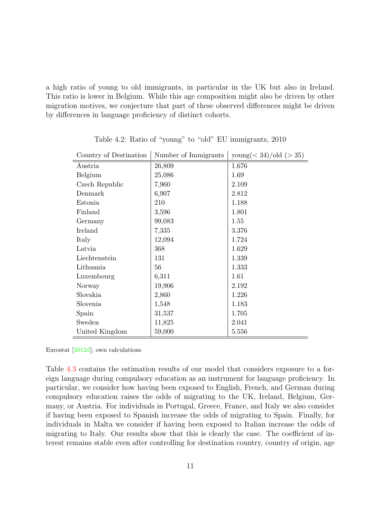a high ratio of young to old immigrants, in particular in the UK but also in Ireland. This ratio is lower in Belgium. While this age composition might also be driven by other migration motives, we conjecture that part of these observed differences might be driven by differences in language proficiency of distinct cohorts.

<span id="page-13-0"></span>

| Country of Destination | Number of Immigrants | $\text{young}(<34)/\text{old}(>35)$ |
|------------------------|----------------------|-------------------------------------|
| Austria                | 26,809               | 1.676                               |
| Belgium                | 25,086               | 1.69                                |
| Czech Republic         | 7,960                | 2.109                               |
| Denmark                | 6,907                | 2.812                               |
| Estonia                | 210                  | 1.188                               |
| Finland                | 3,596                | 1.801                               |
| Germany                | 99,083               | 1.55                                |
| Ireland                | 7,335                | 3.376                               |
| Italy                  | 12,094               | 1.724                               |
| Latvia                 | 368                  | 1.629                               |
| Liechtenstein          | 131                  | 1.339                               |
| Lithuania              | 56                   | 1.333                               |
| Luxembourg             | 6,311                | 1.61                                |
| Norway                 | 19,906               | 2.192                               |
| Slovakia               | 2,860                | 1.226                               |
| Slovenia               | 1,548                | 1.183                               |
| Spain                  | 31,537               | 1.705                               |
| Sweden                 | 11,825               | 2.041                               |
| United Kingdom         | 59,000               | 5.556                               |

Table 4.2: Ratio of "young" to "old" EU immigrants, 2010

Eurostat [\[2012d\]](#page-20-10); own calculations

Table [4.3](#page-14-0) contains the estimation results of our model that considers exposure to a foreign language during compulsory education as an instrument for language proficiency. In particular, we consider how having been exposed to English, French, and German during compulsory education raises the odds of migrating to the UK, Ireland, Belgium, Germany, or Austria. For individuals in Portugal, Greece, France, and Italy we also consider if having been exposed to Spanish increase the odds of migrating to Spain. Finally, for individuals in Malta we consider if having been exposed to Italian increase the odds of migrating to Italy. Our results show that this is clearly the case. The coefficient of interest remains stable even after controlling for destination country, country of origin, age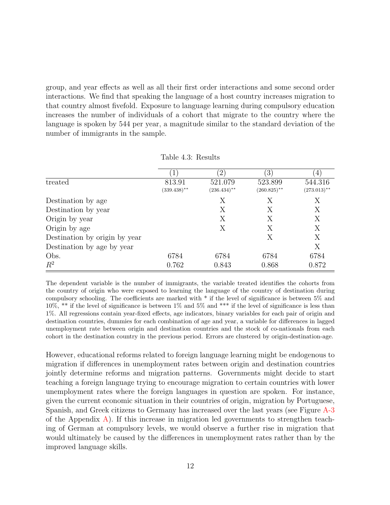group, and year effects as well as all their first order interactions and some second order interactions. We find that speaking the language of a host country increases migration to that country almost fivefold. Exposure to language learning during compulsory education increases the number of individuals of a cohort that migrate to the country where the language is spoken by 544 per year, a magnitude similar to the standard deviation of the number of immigrants in the sample.

<span id="page-14-0"></span>

|                               |                | $\mathbf{2}$   | $\left(3\right)$ | 4              |
|-------------------------------|----------------|----------------|------------------|----------------|
| treated                       | 813.91         | 521.079        | 523.899          | 544.316        |
|                               | $(339.438)$ ** | $(236.434)$ ** | $(260.825)$ **   | $(273.013)$ ** |
| Destination by age            |                | X              | Х                | Х              |
| Destination by year           |                | X              | X                | X              |
| Origin by year                |                | Х              | Х                | X              |
| Origin by age                 |                | Х              | X                | X              |
| Destination by origin by year |                |                | Х                | X              |
| Destination by age by year    |                |                |                  | X              |
| Obs.                          | 6784           | 6784           | 6784             | 6784           |
| $R^2$                         | 0.762          | 0.843          | 0.868            | 0.872          |

Table 4.3: Results

The dependent variable is the number of immigrants, the variable treated identifies the cohorts from the country of origin who were exposed to learning the language of the country of destination during compulsory schooling. The coefficients are marked with \* if the level of significance is between 5% and 10%, \*\* if the level of significance is between 1% and 5% and \*\*\* if the level of significance is less than 1%. All regressions contain year-fixed effects, age indicators, binary variables for each pair of origin and destination countries, dummies for each combination of age and year, a variable for differences in lagged unemployment rate between origin and destination countries and the stock of co-nationals from each cohort in the destination country in the previous period. Errors are clustered by origin-destination-age.

However, educational reforms related to foreign language learning might be endogenous to migration if differences in unemployment rates between origin and destination countries jointly determine reforms and migration patterns. Governments might decide to start teaching a foreign language trying to encourage migration to certain countries with lower unemployment rates where the foreign languages in question are spoken. For instance, given the current economic situation in their countries of origin, migration by Portuguese, Spanish, and Greek citizens to Germany has increased over the last years (see Figure [A-3](#page-23-0) of the Appendix  $\bf{A}$ ). If this increase in migration led governments to strengthen teaching of German at compulsory levels, we would observe a further rise in migration that would ultimately be caused by the differences in unemployment rates rather than by the improved language skills.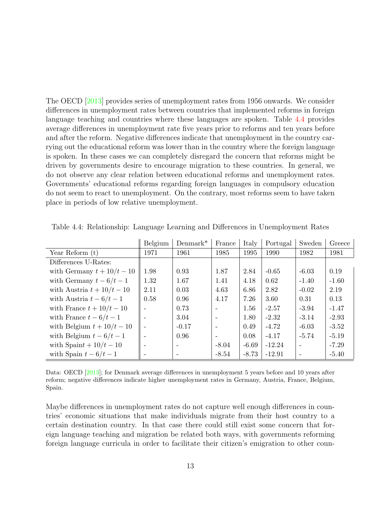The OECD [\[2013\]](#page-21-9) provides series of unemployment rates from 1956 onwards. We consider differences in unemployment rates between countries that implemented reforms in foreign language teaching and countries where these languages are spoken. Table [4.4](#page-15-0) provides average differences in unemployment rate five years prior to reforms and ten years before and after the reform. Negative differences indicate that unemployment in the country carrying out the educational reform was lower than in the country where the foreign language is spoken. In these cases we can completely disregard the concern that reforms might be driven by governments desire to encourage migration to these countries. In general, we do not observe any clear relation between educational reforms and unemployment rates. Governments' educational reforms regarding foreign languages in compulsory education do not seem to react to unemployment. On the contrary, most reforms seem to have taken place in periods of low relative unemployment.

|                              | Belgium | $Demmark*$ | France                   | Italy   | Portugal | Sweden  | Greece  |
|------------------------------|---------|------------|--------------------------|---------|----------|---------|---------|
| Year Reform $(t)$            | 1971    | 1961       | 1985                     | 1995    | 1990     | 1982    | 1981    |
| Differences U-Rates:         |         |            |                          |         |          |         |         |
| with Germany $t + 10/t - 10$ | 1.98    | 0.93       | 1.87                     | 2.84    | $-0.65$  | $-6.03$ | 0.19    |
| with Germany $t-6/t-1$       | 1.32    | 1.67       | 1.41                     | 4.18    | 0.62     | $-1.40$ | $-1.60$ |
| with Austria $t + 10/t - 10$ | 2.11    | 0.03       | 4.63                     | 6.86    | 2.82     | $-0.02$ | 2.19    |
| with Austria $t-6/t-1$       | 0.58    | 0.96       | 4.17                     | 7.26    | 3.60     | 0.31    | 0.13    |
| with France $t + 10/t - 10$  |         | 0.73       | $\overline{\phantom{a}}$ | 1.56    | $-2.57$  | $-3.94$ | $-1.47$ |
| with France $t-6/t-1$        |         | 3.04       |                          | 1.80    | $-2.32$  | $-3.14$ | $-2.93$ |
| with Belgium $t + 10/t - 10$ |         | $-0.17$    |                          | 0.49    | $-4.72$  | $-6.03$ | $-3.52$ |
| with Belgium $t-6/t-1$       |         | 0.96       | $\overline{\phantom{a}}$ | 0.08    | $-4.17$  | $-5.74$ | $-5.19$ |
| with Spaint + $10/t - 10$    |         |            | $-8.04$                  | $-6.69$ | $-12.24$ |         | $-7.29$ |
| with Spain $t-6/t-1$         |         |            | $-8.54$                  | $-8.73$ | $-12.91$ |         | $-5.40$ |

<span id="page-15-0"></span>Table 4.4: Relationship: Language Learning and Differences in Unemployment Rates

 $\mathbf{r}$ 

Data: OECD [\[2013\]](#page-21-9); for Denmark average differences in unemployment 5 years before and 10 years after reform; negative differences indicate higher unemployment rates in Germany, Austria, France, Belgium, Spain.

Maybe differences in unemployment rates do not capture well enough differences in countries' economic situations that make individuals migrate from their host country to a certain destination country. In that case there could still exist some concern that foreign language teaching and migration be related both ways, with governments reforming foreign language curricula in order to facilitate their citizen's emigration to other coun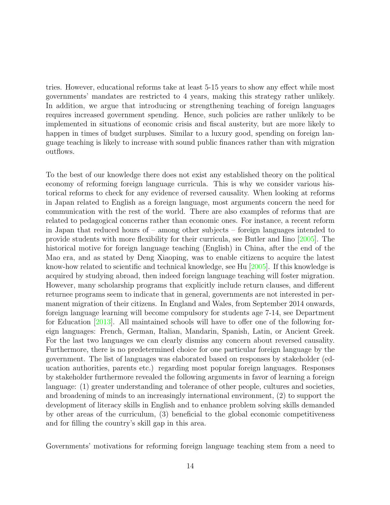tries. However, educational reforms take at least 5-15 years to show any effect while most governments' mandates are restricted to 4 years, making this strategy rather unlikely. In addition, we argue that introducing or strengthening teaching of foreign languages requires increased government spending. Hence, such policies are rather unlikely to be implemented in situations of economic crisis and fiscal austerity, but are more likely to happen in times of budget surpluses. Similar to a luxury good, spending on foreign language teaching is likely to increase with sound public finances rather than with migration outflows.

To the best of our knowledge there does not exist any established theory on the political economy of reforming foreign language curricula. This is why we consider various historical reforms to check for any evidence of reversed causality. When looking at reforms in Japan related to English as a foreign language, most arguments concern the need for communication with the rest of the world. There are also examples of reforms that are related to pedagogical concerns rather than economic ones. For instance, a recent reform in Japan that reduced hours of – among other subjects – foreign languages intended to provide students with more flexibility for their curricula, see Butler and Iino [\[2005\]](#page-19-10). The historical motive for foreign language teaching (English) in China, after the end of the Mao era, and as stated by Deng Xiaoping, was to enable citizens to acquire the latest know-how related to scientific and technical knowledge, see Hu [\[2005\]](#page-20-11). If this knowledge is acquired by studying abroad, then indeed foreign language teaching will foster migration. However, many scholarship programs that explicitly include return clauses, and different returnee programs seem to indicate that in general, governments are not interested in permanent migration of their citizens. In England and Wales, from September 2014 onwards, foreign language learning will become compulsory for students age 7-14, see Department for Education [\[2013\]](#page-19-11). All maintained schools will have to offer one of the following foreign languages: French, German, Italian, Mandarin, Spanish, Latin, or Ancient Greek. For the last two languages we can clearly dismiss any concern about reversed causality. Furthermore, there is no predetermined choice for one particular foreign language by the government. The list of languages was elaborated based on responses by stakeholder (education authorities, parents etc.) regarding most popular foreign languages. Responses by stakeholder furthermore revealed the following arguments in favor of learning a foreign language: (1) greater understanding and tolerance of other people, cultures and societies, and broadening of minds to an increasingly international environment, (2) to support the development of literacy skills in English and to enhance problem solving skills demanded by other areas of the curriculum, (3) beneficial to the global economic competitiveness and for filling the country's skill gap in this area.

Governments' motivations for reforming foreign language teaching stem from a need to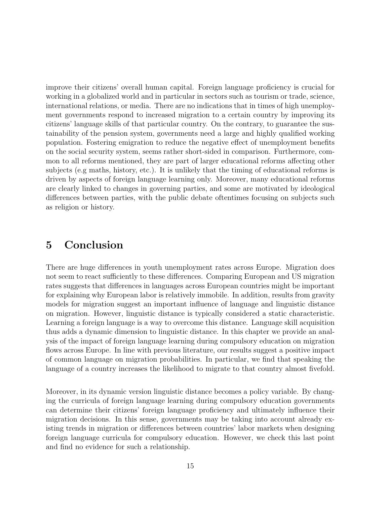improve their citizens' overall human capital. Foreign language proficiency is crucial for working in a globalized world and in particular in sectors such as tourism or trade, science, international relations, or media. There are no indications that in times of high unemployment governments respond to increased migration to a certain country by improving its citizens' language skills of that particular country. On the contrary, to guarantee the sustainability of the pension system, governments need a large and highly qualified working population. Fostering emigration to reduce the negative effect of unemployment benefits on the social security system, seems rather short-sided in comparison. Furthermore, common to all reforms mentioned, they are part of larger educational reforms affecting other subjects (e.g maths, history, etc.). It is unlikely that the timing of educational reforms is driven by aspects of foreign language learning only. Moreover, many educational reforms are clearly linked to changes in governing parties, and some are motivated by ideological differences between parties, with the public debate oftentimes focusing on subjects such as religion or history.

#### <span id="page-17-0"></span>5 Conclusion

There are huge differences in youth unemployment rates across Europe. Migration does not seem to react sufficiently to these differences. Comparing European and US migration rates suggests that differences in languages across European countries might be important for explaining why European labor is relatively immobile. In addition, results from gravity models for migration suggest an important influence of language and linguistic distance on migration. However, linguistic distance is typically considered a static characteristic. Learning a foreign language is a way to overcome this distance. Language skill acquisition thus adds a dynamic dimension to linguistic distance. In this chapter we provide an analysis of the impact of foreign language learning during compulsory education on migration flows across Europe. In line with previous literature, our results suggest a positive impact of common language on migration probabilities. In particular, we find that speaking the language of a country increases the likelihood to migrate to that country almost fivefold.

Moreover, in its dynamic version linguistic distance becomes a policy variable. By changing the curricula of foreign language learning during compulsory education governments can determine their citizens' foreign language proficiency and ultimately influence their migration decisions. In this sense, governments may be taking into account already existing trends in migration or differences between countries' labor markets when designing foreign language curricula for compulsory education. However, we check this last point and find no evidence for such a relationship.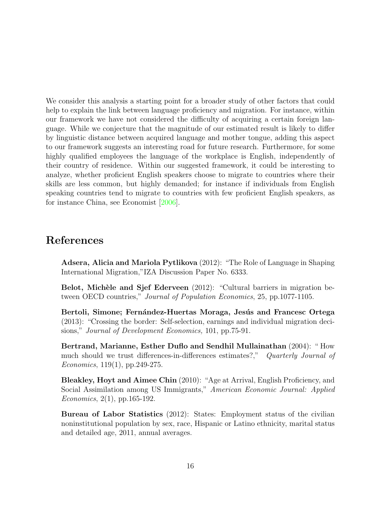We consider this analysis a starting point for a broader study of other factors that could help to explain the link between language proficiency and migration. For instance, within our framework we have not considered the difficulty of acquiring a certain foreign language. While we conjecture that the magnitude of our estimated result is likely to differ by linguistic distance between acquired language and mother tongue, adding this aspect to our framework suggests an interesting road for future research. Furthermore, for some highly qualified employees the language of the workplace is English, independently of their country of residence. Within our suggested framework, it could be interesting to analyze, whether proficient English speakers choose to migrate to countries where their skills are less common, but highly demanded; for instance if individuals from English speaking countries tend to migrate to countries with few proficient English speakers, as for instance China, see Economist [\[2006\]](#page-19-12).

#### References

<span id="page-18-2"></span>Adsera, Alicia and Mariola Pytlikova (2012): "The Role of Language in Shaping International Migration,"IZA Discussion Paper No. 6333.

<span id="page-18-4"></span>Belot, Michèle and Sjef Ederveen (2012): "Cultural barriers in migration between OECD countries," Journal of Population Economics, 25, pp.1077-1105.

<span id="page-18-3"></span>Bertoli, Simone; Fernández-Huertas Moraga, Jesús and Francesc Ortega (2013): "Crossing the border: Self-selection, earnings and individual migration decisions," *Journal of Development Economics*, 101, pp.75-91.

<span id="page-18-5"></span>Bertrand, Marianne, Esther Duflo and Sendhil Mullainathan (2004): " How much should we trust differences-in-differences estimates?," Quarterly Journal of Economics,  $119(1)$ , pp. 249-275.

<span id="page-18-1"></span>Bleakley, Hoyt and Aimee Chin (2010): "Age at Arrival, English Proficiency, and Social Assimilation among US Immigrants," American Economic Journal: Applied Economics, 2(1), pp.165-192.

<span id="page-18-0"></span>Bureau of Labor Statistics (2012): States: Employment status of the civilian noninstitutional population by sex, race, Hispanic or Latino ethnicity, marital status and detailed age, 2011, annual averages.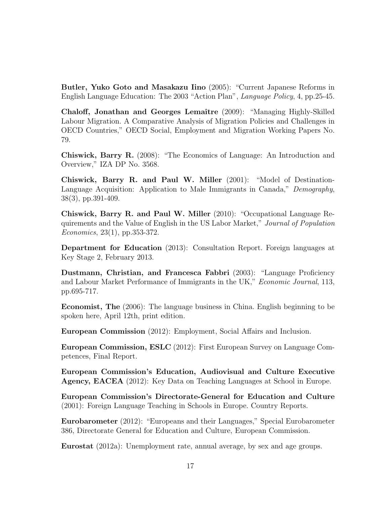<span id="page-19-10"></span>Butler, Yuko Goto and Masakazu Iino (2005): "Current Japanese Reforms in English Language Education: The 2003 "Action Plan", Language Policy, 4, pp.25-45.

<span id="page-19-1"></span>Chaloff, Jonathan and Georges Lemaître (2009): "Managing Highly-Skilled Labour Migration. A Comparative Analysis of Migration Policies and Challenges in OECD Countries," OECD Social, Employment and Migration Working Papers No. 79.

<span id="page-19-5"></span>Chiswick, Barry R. (2008): "The Economics of Language: An Introduction and Overview," IZA DP No. 3568.

<span id="page-19-6"></span>Chiswick, Barry R. and Paul W. Miller (2001): "Model of Destination-Language Acquisition: Application to Male Immigrants in Canada," Demography, 38(3), pp.391-409.

<span id="page-19-3"></span>Chiswick, Barry R. and Paul W. Miller (2010): "Occupational Language Requirements and the Value of English in the US Labor Market," Journal of Population Economics, 23(1), pp.353-372.

<span id="page-19-11"></span>Department for Education (2013): Consultation Report. Foreign languages at Key Stage 2, February 2013.

<span id="page-19-4"></span>Dustmann, Christian, and Francesca Fabbri (2003): "Language Proficiency and Labour Market Performance of Immigrants in the UK," Economic Journal, 113, pp.695-717.

<span id="page-19-12"></span>Economist, The (2006): The language business in China. English beginning to be spoken here, April 12th, print edition.

<span id="page-19-0"></span>European Commission (2012): Employment, Social Affairs and Inclusion.

European Commission, ESLC (2012): First European Survey on Language Competences, Final Report.

<span id="page-19-8"></span>European Commission's Education, Audiovisual and Culture Executive Agency, EACEA (2012): Key Data on Teaching Languages at School in Europe.

<span id="page-19-9"></span>European Commission's Directorate-General for Education and Culture (2001): Foreign Language Teaching in Schools in Europe. Country Reports.

<span id="page-19-7"></span>Eurobarometer (2012): "Europeans and their Languages," Special Eurobarometer 386, Directorate General for Education and Culture, European Commission.

<span id="page-19-2"></span>Eurostat (2012a): Unemployment rate, annual average, by sex and age groups.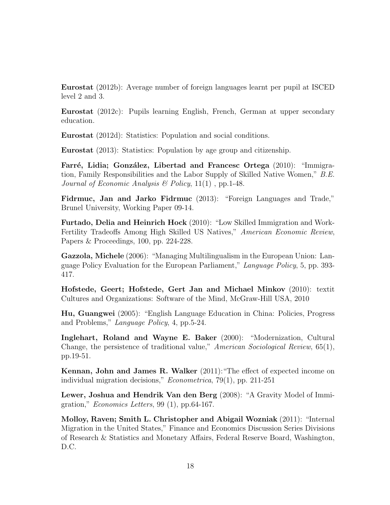<span id="page-20-1"></span>Eurostat (2012b): Average number of foreign languages learnt per pupil at ISCED level 2 and 3.

<span id="page-20-13"></span>Eurostat (2012c): Pupils learning English, French, German at upper secondary education.

<span id="page-20-10"></span>Eurostat (2012d): Statistics: Population and social conditions.

<span id="page-20-12"></span>Eurostat (2013): Statistics: Population by age group and citizenship.

<span id="page-20-4"></span>Farré, Lidia; González, Libertad and Francesc Ortega (2010): "Immigration, Family Responsibilities and the Labor Supply of Skilled Native Women," B.E. Journal of Economic Analysis & Policy,  $11(1)$ , pp. 1-48.

<span id="page-20-8"></span>Fidrmuc, Jan and Jarko Fidrmuc (2013): "Foreign Languages and Trade," Brunel University, Working Paper 09-14.

<span id="page-20-3"></span>Furtado, Delia and Heinrich Hock (2010): "Low Skilled Immigration and Work-Fertility Tradeoffs Among High Skilled US Natives," American Economic Review, Papers & Proceedings, 100, pp. 224-228.

<span id="page-20-9"></span>Gazzola, Michele (2006): "Managing Multilingualism in the European Union: Language Policy Evaluation for the European Parliament," Language Policy, 5, pp. 393- 417.

<span id="page-20-6"></span>Hofstede, Geert; Hofstede, Gert Jan and Michael Minkov (2010): textit Cultures and Organizations: Software of the Mind, McGraw-Hill USA, 2010

<span id="page-20-11"></span>Hu, Guangwei (2005): "English Language Education in China: Policies, Progress and Problems," Language Policy, 4, pp.5-24.

<span id="page-20-7"></span>Inglehart, Roland and Wayne E. Baker (2000): "Modernization, Cultural Change, the persistence of traditional value," American Sociological Review, 65(1), pp.19-51.

<span id="page-20-5"></span>Kennan, John and James R. Walker (2011):"The effect of expected income on individual migration decisions," Econometrica, 79(1), pp. 211-251

<span id="page-20-2"></span>Lewer, Joshua and Hendrik Van den Berg (2008): "A Gravity Model of Immigration," *Economics Letters*, 99 $(1)$ , pp.64-167.

<span id="page-20-0"></span>Molloy, Raven; Smith L. Christopher and Abigail Wozniak (2011): "Internal Migration in the United States," Finance and Economics Discussion Series Divisions of Research & Statistics and Monetary Affairs, Federal Reserve Board, Washington, D.C.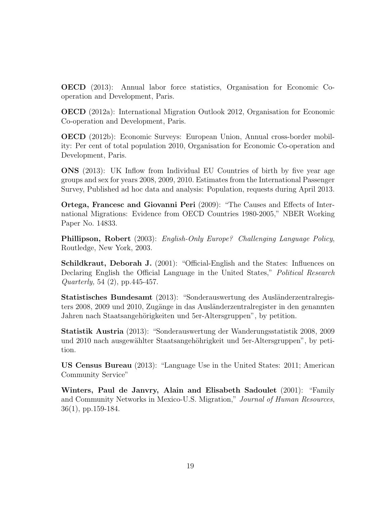<span id="page-21-9"></span>OECD (2013): Annual labor force statistics, Organisation for Economic Cooperation and Development, Paris.

<span id="page-21-10"></span>OECD (2012a): International Migration Outlook 2012, Organisation for Economic Co-operation and Development, Paris.

<span id="page-21-0"></span>OECD (2012b): Economic Surveys: European Union, Annual cross-border mobility: Per cent of total population 2010, Organisation for Economic Co-operation and Development, Paris.

<span id="page-21-7"></span>ONS (2013): UK Inflow from Individual EU Countries of birth by five year age groups and sex for years 2008, 2009, 2010. Estimates from the International Passenger Survey, Published ad hoc data and analysis: Population, requests during April 2013.

<span id="page-21-3"></span>Ortega, Francesc and Giovanni Peri (2009): "The Causes and Effects of International Migrations: Evidence from OECD Countries 1980-2005," NBER Working Paper No. 14833.

<span id="page-21-8"></span>Phillipson, Robert (2003): English-Only Europe? Challenging Language Policy, Routledge, New York, 2003.

<span id="page-21-1"></span>Schildkraut, Deborah J. (2001): "Official-English and the States: Influences on Declaring English the Official Language in the United States," Political Research Quarterly, 54 (2), pp.445-457.

<span id="page-21-5"></span>Statistisches Bundesamt (2013): "Sonderauswertung des Ausländerzentralregisters 2008, 2009 und 2010, Zugänge in das Ausländerzentralregister in den genannten Jahren nach Staatsangehörigkeiten und 5er-Altersgruppen", by petition.

<span id="page-21-6"></span>Statistik Austria (2013): "Sonderauswertung der Wanderungsstatistik 2008, 2009 und 2010 nach ausgewählter Staatsangehöhrigkeit und 5er-Altersgruppen", by petition.

<span id="page-21-2"></span>US Census Bureau (2013): "Language Use in the United States: 2011; American Community Service"

<span id="page-21-4"></span>Winters, Paul de Janvry, Alain and Elisabeth Sadoulet (2001): "Family and Community Networks in Mexico-U.S. Migration," Journal of Human Resources, 36(1), pp.159-184.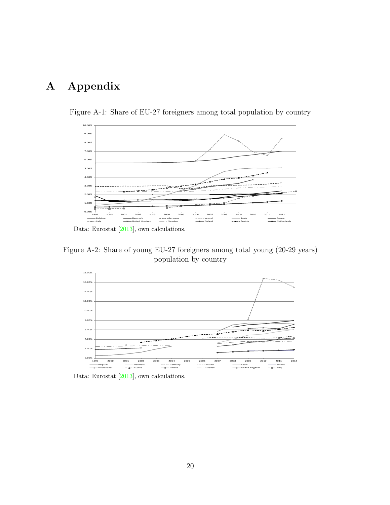# <span id="page-22-2"></span>A Appendix



<span id="page-22-0"></span>Figure A-1: Share of EU-27 foreigners among total population by country

Data: Eurostat [\[2013\]](#page-20-12), own calculations.

<span id="page-22-1"></span>Figure A-2: Share of young EU-27 foreigners among total young (20-29 years) population by country



Data: Eurostat [\[2013\]](#page-20-12), own calculations.